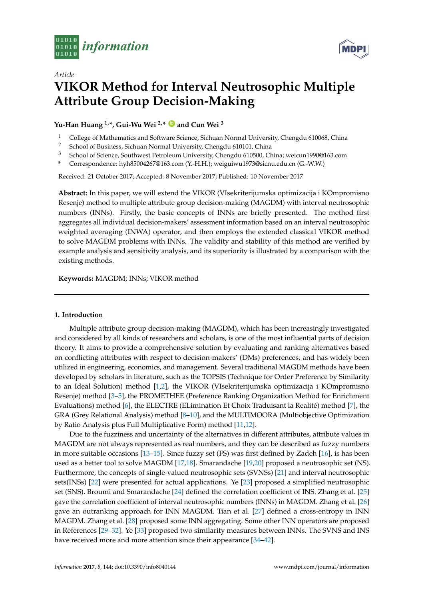



# *Article* **VIKOR Method for Interval Neutrosophic Multiple Attribute Group Decision-Making**

## **Yu-Han Huang 1,\*, Gui-Wu Wei 2,\* [ID](https://orcid.org/0000-0001-9074-2005) and Cun Wei <sup>3</sup>**

- <sup>1</sup> College of Mathematics and Software Science, Sichuan Normal University, Chengdu 610068, China<br><sup>2</sup> School of Business, Sichuan Normal University, Chengdu 610101, China
- <sup>2</sup> School of Business, Sichuan Normal University, Chengdu 610101, China
- <sup>3</sup> School of Science, Southwest Petroleum University, Chengdu 610500, China; weicun1990@163.com
- **\*** Correspondence: hyh85004267@163.com (Y.-H.H.); weiguiwu1973@sicnu.edu.cn (G.-W.W.)

Received: 21 October 2017; Accepted: 8 November 2017; Published: 10 November 2017

**Abstract:** In this paper, we will extend the VIKOR (VIsekriterijumska optimizacija i KOmpromisno Resenje) method to multiple attribute group decision-making (MAGDM) with interval neutrosophic numbers (INNs). Firstly, the basic concepts of INNs are briefly presented. The method first aggregates all individual decision-makers' assessment information based on an interval neutrosophic weighted averaging (INWA) operator, and then employs the extended classical VIKOR method to solve MAGDM problems with INNs. The validity and stability of this method are verified by example analysis and sensitivity analysis, and its superiority is illustrated by a comparison with the existing methods.

**Keywords:** MAGDM; INNs; VIKOR method

#### **1. Introduction**

Multiple attribute group decision-making (MAGDM), which has been increasingly investigated and considered by all kinds of researchers and scholars, is one of the most influential parts of decision theory. It aims to provide a comprehensive solution by evaluating and ranking alternatives based on conflicting attributes with respect to decision-makers' (DMs) preferences, and has widely been utilized in engineering, economics, and management. Several traditional MAGDM methods have been developed by scholars in literature, such as the TOPSIS (Technique for Order Preference by Similarity to an Ideal Solution) method [\[1](#page-6-0)[,2\]](#page-6-1), the VIKOR (VIsekriterijumska optimizacija i KOmpromisno Resenje) method [\[3](#page-6-2)[–5\]](#page-6-3), the PROMETHEE (Preference Ranking Organization Method for Enrichment Evaluations) method [\[6\]](#page-6-4), the ELECTRE (ELimination Et Choix Traduisant la Realité) method [\[7\]](#page-6-5), the GRA (Grey Relational Analysis) method [\[8–](#page-6-6)[10\]](#page-6-7), and the MULTIMOORA (Multiobjective Optimization by Ratio Analysis plus Full Multiplicative Form) method [\[11,](#page-6-8)[12\]](#page-7-0).

Due to the fuzziness and uncertainty of the alternatives in different attributes, attribute values in MAGDM are not always represented as real numbers, and they can be described as fuzzy numbers in more suitable occasions [\[13–](#page-7-1)[15\]](#page-7-2). Since fuzzy set (FS) was first defined by Zadeh [\[16\]](#page-7-3), is has been used as a better tool to solve MAGDM [\[17](#page-7-4)[,18\]](#page-7-5). Smarandache [\[19](#page-7-6)[,20\]](#page-7-7) proposed a neutrosophic set (NS). Furthermore, the concepts of single-valued neutrosophic sets (SVNSs) [\[21\]](#page-7-8) and interval neutrosophic sets(INSs) [\[22\]](#page-7-9) were presented for actual applications. Ye [\[23\]](#page-7-10) proposed a simplified neutrosophic set (SNS). Broumi and Smarandache [\[24\]](#page-7-11) defined the correlation coefficient of INS. Zhang et al. [\[25\]](#page-7-12) gave the correlation coefficient of interval neutrosophic numbers (INNs) in MAGDM. Zhang et al. [\[26\]](#page-7-13) gave an outranking approach for INN MAGDM. Tian et al. [\[27\]](#page-7-14) defined a cross-entropy in INN MAGDM. Zhang et al. [\[28\]](#page-7-15) proposed some INN aggregating. Some other INN operators are proposed in References [\[29–](#page-7-16)[32\]](#page-7-17). Ye [\[33\]](#page-7-18) proposed two similarity measures between INNs. The SVNS and INS have received more and more attention since their appearance [\[34–](#page-7-19)[42\]](#page-8-0).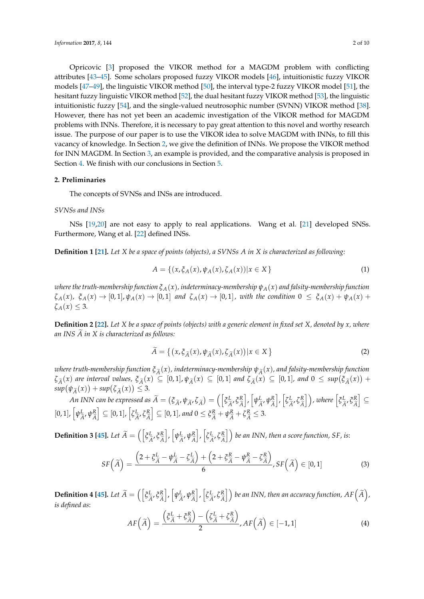Opricovic [\[3\]](#page-6-2) proposed the VIKOR method for a MAGDM problem with conflicting attributes [\[43–](#page-8-1)[45\]](#page-8-2). Some scholars proposed fuzzy VIKOR models [\[46\]](#page-8-3), intuitionistic fuzzy VIKOR models [\[47](#page-8-4)[–49\]](#page-8-5), the linguistic VIKOR method [\[50\]](#page-8-6), the interval type-2 fuzzy VIKOR model [\[51\]](#page-8-7), the hesitant fuzzy linguistic VIKOR method [\[52\]](#page-8-8), the dual hesitant fuzzy VIKOR method [\[53\]](#page-8-9), the linguistic intuitionistic fuzzy [\[54\]](#page-8-10), and the single-valued neutrosophic number (SVNN) VIKOR method [\[38\]](#page-7-20). However, there has not yet been an academic investigation of the VIKOR method for MAGDM problems with INNs. Therefore, it is necessary to pay great attention to this novel and worthy research issue. The purpose of our paper is to use the VIKOR idea to solve MAGDM with INNs, to fill this vacancy of knowledge. In Section [2,](#page-1-0) we give the definition of INNs. We propose the VIKOR method for INN MAGDM. In Section [3,](#page-2-0) an example is provided, and the comparative analysis is proposed in Section [4.](#page-4-0) We finish with our conclusions in Section [5.](#page-6-9)

## <span id="page-1-0"></span>**2. Preliminaries**

The concepts of SVNSs and INSs are introduced.

## *SVNSs and INSs*

NSs [\[19](#page-7-6)[,20\]](#page-7-7) are not easy to apply to real applications. Wang et al. [\[21\]](#page-7-8) developed SNSs. Furthermore, Wang et al. [\[22\]](#page-7-9) defined INSs.

**Definition 1 [\[21\]](#page-7-8).** *Let X be a space of points (objects), a SVNSs A in X is characterized as following:*

$$
A = \{ (x, \xi_A(x), \psi_A(x), \zeta_A(x)) | x \in X \}
$$
 (1)

*where the truth-membership function ξA*(*x*)*, indeterminacy-membership ψA*(*x*) *and falsity-membership function*  $\zeta_A(x)$ ,  $\zeta_A(x) \to [0,1], \psi_A(x) \to [0,1]$  and  $\zeta_A(x) \to [0,1]$ , with the condition  $0 \leq \zeta_A(x) + \psi_A(x) +$  $\zeta_A(x) \leq 3$ .

**Definition 2 [\[22\]](#page-7-9).** *Let X be a space of points (objects) with a generic element in fixed set X, denoted by x, where an INS*  $\widetilde{A}$  *in X is characterized as follows:* 

$$
\widetilde{A} = \left\{ \left( x, \xi_{\widetilde{A}}(x), \psi_{\widetilde{A}}(x), \zeta_{\widetilde{A}}(x) \right) | x \in X \right\}
$$
\n(2)

*where truth-membership function*  $\xi_{\tilde{A}}(x)$ , indeterminacy-membership  $\psi_{\tilde{A}}(x)$ , and falsity-membership function  $\zeta_{\widetilde{A}}(x)$  are interval values,  $\xi_{\widetilde{A}}(x) \subseteq [0,1], \psi_{\widetilde{A}}(x) \subseteq [0,1]$  and  $\zeta_{\widetilde{A}}(x) \subseteq [0,1]$ , and  $0 \leq sup(\zeta_{\widetilde{A}}(x)) + \frac{1}{2}$  $sup(\psi_{\widetilde{A}}(x)) + sup(\zeta_{\widetilde{A}}(x)) \leq 3.$ 

*An INN can be expressed as*  $\widetilde{A} = (\xi_{\widetilde{A}}, \psi_{\widetilde{A}}, \zeta_{\widetilde{A}}) = \left( \left[ \xi_{\widetilde{A}}^L \right] \right)$ *A*e , *ξ R A*e  $\big]$ ,  $\big[ \psi^L_{\widetilde{\ell}} %\mathbf{P}}%{\mathbf{P}} \big]$  $^L_{\widetilde{A}}$ ,  $\psi^R_{\widetilde{A}}$ *A*e  $\big]$ ,  $\big[$ ζ $^L_2$ *L*<sub>*A*</sub>, ζ*R*<sub>*A*</sub>  $\begin{bmatrix} R \\ \widetilde{A} \end{bmatrix}$ ), where  $\begin{bmatrix} \xi_L^L \end{bmatrix}$ *A*e , *ξ R A*e i ⊆  $[0, 1]$ ,  $\psi_{\tilde{\lambda}}^L$  $^L_{\tilde{A}}$ ,  $\psi^R_{\tilde{A}}$ *A*e  $\Big] \subseteq [0,1]$ ,  $\Big[\zeta^L_{\widetilde{A}}\Big]$ *L*<sub>*A*</sub>, ζ*R*<sub>*A*</sub> *A*e  $\left[\sum_{i=1}^{n} [0, 1], \text{ and } 0 \leq \xi_{\widetilde{A}}^R + \psi_{\widetilde{A}}^R + \zeta_{\widetilde{A}}^R \leq 3. \right]$ 

**Definition 3 [\[45\]](#page-8-2).** Let  $\widetilde{A} = \left( \begin{bmatrix} \tilde{\mathcal{E}}^L_{\hat{A}} \end{bmatrix} \right)$ *A*e , *ξ R A*e  $\bigg |$ ,  $\big[ \psi^L_{\tilde{a}} %Mathcal{P}_{a} - \psi^L_{a} \big]$  $^L_{\widetilde{A}}$ ,  $\psi^R_{\widetilde{A}}$ *A*e  $\big]$ ,  $\big[$ ζ $^L_2$  $\frac{L}{\widetilde{A}}$ ,  $\zeta$ <sup>R</sup> $\hat{A}$  $\left[ \frac{R}{\hat{A}} \right]$  ) be an INN, then a score function, SF, is:

$$
SF\left(\widetilde{A}\right) = \frac{\left(2 + \xi_{\widetilde{A}}^{L} - \psi_{\widetilde{A}}^{L} - \xi_{\widetilde{A}}^{L}\right) + \left(2 + \xi_{\widetilde{A}}^{R} - \psi_{\widetilde{A}}^{R} - \xi_{\widetilde{A}}^{R}\right)}{6}, SF\left(\widetilde{A}\right) \in [0, 1]
$$
\n(3)

 $\mathbf{Definition \ 4 \ [45]}$  $\mathbf{Definition \ 4 \ [45]}$  $\mathbf{Definition \ 4 \ [45]}$ *. Let*  $\widetilde{A} = \left( \left[ \tilde{\xi}^L_{\hat{A}} \right] \right)$ *A*e , *ξ R A*e  $\bigg |$ ,  $\big[ \psi^L_{\widetilde{\mathcal{A}}}$  $^L_{\tilde{A}}$ ,  $\psi^R_{\tilde{A}}$ *A*e  $\bigg|$ ,  $\bigg| \zeta^L_{\tilde{\ell}}$  $^L_{\widetilde{A}}$ ,  $\zeta^R_{\widetilde{A}}$  $\left[ \frac{R}{\widetilde{A}} \right]$  ) be an INN, then an accuracy function,  $AF\left( \widetilde{A} \right)$ , *is defined as*:

$$
AF\left(\widetilde{A}\right) = \frac{\left(\widetilde{\zeta}_{\widetilde{A}}^{L} + \widetilde{\zeta}_{\widetilde{A}}^{R}\right) - \left(\widetilde{\zeta}_{\widetilde{A}}^{L} + \widetilde{\zeta}_{\widetilde{A}}^{R}\right)}{2}, AF\left(\widetilde{A}\right) \in [-1, 1]
$$
\n(4)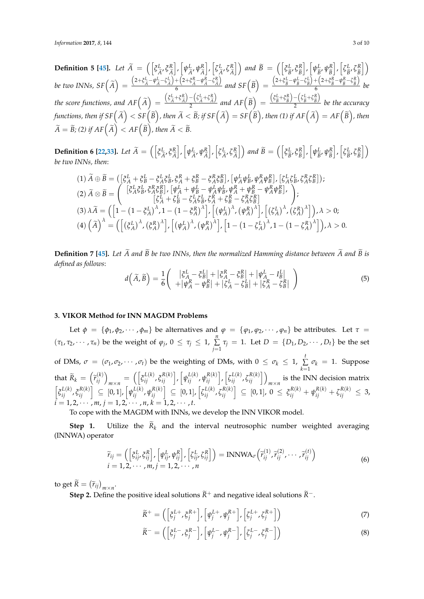**Definition 5 [\[45\]](#page-8-2).** *Let*  $\widetilde{A} = \left( \begin{bmatrix} \xi_L^L \end{bmatrix} \right)$ *A*e , *ξ R A*e  $\bigg|, \bigg[\psi^L_{\widetilde{\mathcal{A}}}$  $\frac{L}{\widetilde{A}}$ ,  $\psi_{\widetilde{A}}^R$ *A*e  $\bigg|$ ,  $\bigg[ \zeta^L_{\tilde{d}}$ *A*e , *ζ R*  $\begin{bmatrix} R \\ \widetilde{A} \end{bmatrix}$  and  $\widetilde{B} = \begin{bmatrix} \begin{bmatrix} \boldsymbol{\xi}^L \\ \boldsymbol{\xi}^R \end{bmatrix} \end{bmatrix}$  $\frac{L}{\widetilde{B}}$ ,  $\zeta_{\widetilde{B}}^R$ *B*e  $\bigg |$ ,  $\big[ \psi^L_{\widetilde{\mathcal{R}}}$  $\frac{L}{\widetilde{B}}$ ,  $\psi_{\widetilde{B}}^R$ *B*e  $\bigg], \bigg[ \zeta^L_{\widehat{\mathbf{R}}}$  $\frac{L}{\widetilde{B}}$ ,  $\zeta_{\widetilde{B}}^R$ *B*e i be two INNs, SF $\left(\widetilde{A}\right)=$  $\frac{(2+\xi^L_{\widetilde{A}}-\psi^L_{\widetilde{A}}-\zeta^L_{\widetilde{A}})}{4}$  $+$  $\left(2+\xi \frac{R}{\tilde{A}}-\psi \frac{R}{\tilde{A}}-\zeta \frac{R}{\tilde{A}}\right)$  $\lambda$  $\frac{f^+(\lambda^2 + \varsigma_A^2 - \psi_A^2 - \varsigma_A^2)}{6}$  and  $SF(\widetilde{B}) =$  $\frac{(2+\xi_{\widetilde{B}}^{L}-\psi_{\widetilde{B}}^{L}-\zeta_{\widetilde{B}}^{L})}{2}$  $\frac{1}{\beta}$  +  $\left(2+\xi_{\widetilde{B}}^R-\psi_{\widetilde{B}}^R-\zeta_{\widetilde{B}}^R\right)$  $\lambda$  $\frac{(B+B)^{B}}{6}$  be the score functions, and  $AF\left(\widetilde{A}\right) =$  $\left( \xi_{\widetilde{A}}^L + \xi_{\widetilde{A}}^R \right)$  $\frac{1}{2}$  –  $\left(\zeta_{\widetilde{A}}^L + \zeta_{\widetilde{A}}^R\right)$  $\lambda$  $\frac{-(\zeta \tilde{A} + \zeta \tilde{A})}{2}$  and  $AF(\tilde{B}) =$  $\left( \xi_{\widetilde{B}}^L + \xi_{\widetilde{B}}^R \right)$  $-\left(\zeta_{\widetilde{B}}^L + \zeta_{\widetilde{B}}^R\right)$  $\lambda$ 2 *be the accuracy* functions, then if  $SF\left(\widetilde{A}\right) < SF\left(\widetilde{B}\right)$ , then  $\widetilde{A} < \widetilde{B}$ ; if  $SF\left(\widetilde{A}\right) = SF\left(\widetilde{B}\right)$ , then (1) if  $AF\left(\widetilde{A}\right) = AF\left(\widetilde{B}\right)$ , then  $\widetilde{A} = \widetilde{B}$ ; (2) if  $AF\left(\widetilde{A}\right) < AF\left(\widetilde{B}\right)$ , then  $\widetilde{A} < \widetilde{B}$ .

**Definition 6 [\[22,](#page-7-9)[33\]](#page-7-18).** *Let*  $\widetilde{A} = \left( \begin{bmatrix} \xi_L^L \end{bmatrix} \right)$ *A*e , *ξ R A*e  $\big]$ ,  $\big[ \psi^L_{\widetilde{A}} %Mathcal{I}_{A} - P A_{\widetilde{A}} %Mathcal{I}_{A} - P A_{\widetilde{A}} %Mathcal{I}_{A} - P A_{\widetilde{A}} %Mathcal{I}_{A} - P A_{\widetilde{A}} %Mathcal{I}_{A} - P A_{\widetilde{A}} %Mathcal{I}_{A} - P A_{\widetilde{A}} %Mathcal{I}_{A} - P A_{\widetilde{A}} %Mathcal{I}_{A} - P A_{\widetilde{A}} %Mathcal{I}_{A} - P A_{\widetilde{A}} %Mathcal{I}_{A} - P A_{\widetilde{A}} %Mathcal{I}_{A}$  $^L_{\tilde{A}'}\psi^R_{\tilde{A}}$ *A*e  $\bigg], \bigg[$ ζ $\frac{L}{2}$ *L*<sub>*Ã'*</sub> ζ<sup>*R*</sup> $\hat{A}$  $\begin{bmatrix} R \\ \widetilde{A} \end{bmatrix}$  and  $\widetilde{B} = \left( \begin{bmatrix} \xi_L^L \\ \xi_{\widetilde{B}}^L \end{bmatrix} \right)$ *E*, *ξ*<sup>R</sup><sub> $\tilde{B}$ </sub> *B*e  $\bigg |$ ,  $\big[ \psi^L_{\widetilde{\mathcal{R}}}$  $\frac{L}{\widetilde{B}}$ ,  $\psi_{\widetilde{B}}^R$ *B*e  $\bigg|, \bigg| \zeta_{\widehat{R}}^L$  $\frac{L}{\widetilde{B}}$ ,  $\zeta_{\widetilde{B}}^R$ *B*e i *be two INNs, then*:

$$
(1) \tilde{A} \oplus \tilde{B} = ([\xi_A^L + \xi_B^L - \xi_A^L \xi_B^L, \xi_A^R + \xi_B^R - \xi_A^R \xi_B^R], [\psi_A^L \psi_B^L, \psi_A^R \psi_B^R], [\xi_A^L \xi_B^L, \xi_A^R \xi_B^R]);
$$
  
\n
$$
(2) \tilde{A} \otimes \tilde{B} = \begin{pmatrix} [\xi_A^L \xi_B^L, \xi_A^R \xi_B^R], [\psi_A^L + \psi_B^L - \psi_A^L \psi_B^L, \psi_A^R + \psi_B^R - \psi_A^R \psi_B^R], \\ [\xi_A^L + \xi_B^L - \xi_A^L \xi_B^L, \xi_A^R + \xi_B^R - \xi_A^R \xi_B^R] \end{pmatrix};
$$
  
\n
$$
(3) \lambda \tilde{A} = ([1 - (1 - \xi_A^L))^{\lambda}, 1 - (1 - \xi_A^R)^{\lambda}], [(\psi_A^L)^{\lambda}, (\psi_A^R)^{\lambda}], [(\xi_A^L)^{\lambda}, (\xi_A^R)^{\lambda}]), \lambda > 0;
$$
  
\n
$$
(4) (\tilde{A})^{\lambda} = ([(\xi_A^L)^{\lambda}, (\xi_A^R)^{\lambda}], [(\psi_A^L)^{\lambda}, (\psi_A^R)^{\lambda}], [1 - (1 - \xi_A^L)^{\lambda}, 1 - (1 - \xi_A^R)^{\lambda}]), \lambda > 0.
$$

**Definition 7 [\[45\]](#page-8-2).** Let  $\widetilde{A}$  and  $\widetilde{B}$  be two INNs, then the normalized Hamming distance between  $\widetilde{A}$  and  $\widetilde{B}$  is *defined as follows*:

$$
d\left(\widetilde{A},\widetilde{B}\right) = \frac{1}{6} \left( \begin{array}{c} |\xi_A^L - \xi_B^L| + |\xi_A^R - \xi_B^R| + |\psi_A^L - I_B^L| \\ + |\psi_A^R - \psi_B^R| + |\zeta_A^L - \zeta_B^L| + |\zeta_A^R - \zeta_B^R| \end{array} \right) \tag{5}
$$

## <span id="page-2-0"></span>**3. VIKOR Method for INN MAGDM Problems**

Let  $\phi = {\phi_1, \phi_2, \cdots, \phi_m}$  be alternatives and  $\phi = {\phi_1, \phi_2, \cdots, \phi_n}$  be attributes. Let  $\tau =$  $(τ₁, τ₂, ⋯, τₙ)$  be the weight of  $φ₁, 0 ≤ τₙ ≤ 1, ∑_1$ *f*<sub>*j*</sub> = 1. Let *D* = {*D*<sub>1</sub>, *D*<sub>2</sub>, · · · , *D*<sub>*t*</sub>} be the set of DMs,  $\sigma = (\sigma_1, \sigma_2, \cdots, \sigma_t)$  be the weighting of DMs, with  $0 \leq \sigma_k \leq 1$ ,  $\sum_{k=1}^{t} \sigma_k = 1$ . Suppose *k*=1 that  $\widetilde{R}_k = \left(\widetilde{r}_{ij}^{(k)}\right)_{m \times n} = \left(\left[\xi_{ij}^{L(k)}, \xi_{ij}^{R(k)}\right], \left[\psi_{ij}^{L(k)}, \psi_{ij}^{R(k)}\right], \left[\xi_{ij}^{L(k)}, \xi_{ij}^{R(k)}\right]\right)_{m \times n}$  is the INN decision matrix  $\left[\xi_{ij}^{L(k)}, \xi_{ij}^{R(k)}\right] \subseteq [0,1], \left[\psi_{ij}^{L(k)}, \psi_{ij}^{R(k)}\right] \subseteq [0,1], \left[\zeta_{ij}^{L(k)}, \zeta_{ij}^{R(k)}\right] \subseteq [0,1], 0 \leq \xi_{ij}^{R(k)} + \psi_{ij}^{R(k)} + \zeta_{ij}^{R(k)} \leq 3$  $i = 1, 2, \cdots, m, j = 1, 2, \cdots, n, k = 1, 2, \cdots, t.$ 

To cope with the MAGDM with INNs, we develop the INN VIKOR model.

**Step 1.** Utilize the  $R_k$  and the interval neutrosophic number weighted averaging (INNWA) operator

$$
\widetilde{r}_{ij} = \left( \left[ \xi_{ij}^{L}, \xi_{ij}^{R} \right], \left[ \psi_{ij}^{L}, \psi_{ij}^{R} \right], \left[ \xi_{ij}^{L}, \xi_{ij}^{R} \right] \right) = \text{INNWA}_{\sigma} \left( \widetilde{r}_{ij}^{(1)}, \widetilde{r}_{ij}^{(2)}, \cdots, \widetilde{r}_{ij}^{(t)} \right) \n i = 1, 2, \cdots, m, j = 1, 2, \cdots, n
$$
\n(6)

to get  $\overline{R} = (\widetilde{r}_{ij})_{m \times n}$ .

**Step 2.** Define the positive ideal solutions  $\widetilde{R}^+$  and negative ideal solutions  $\widetilde{R}^-$ .

$$
\widetilde{R}^{+} = \left( \left[ \xi_j^{L+}, \xi_j^{R+} \right], \left[ \psi_j^{L+}, \psi_j^{R+} \right], \left[ \xi_j^{L+}, \xi_j^{R+} \right] \right) \tag{7}
$$

$$
\widetilde{R}^{-} = \left( \left[ \xi_j^{L-}, \xi_j^{R-} \right], \left[ \psi_j^{L-}, \psi_j^{R-} \right], \left[ \xi_j^{L-}, \xi_j^{R-} \right] \right) \tag{8}
$$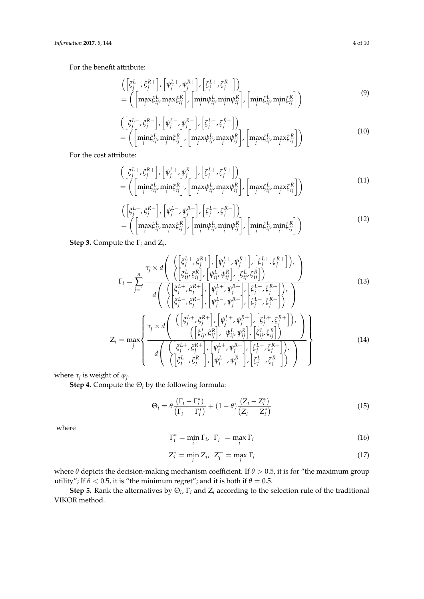For the benefit attribute:

$$
\begin{array}{l}\n\left(\left[\xi_j^{L+}, \xi_j^{R+}\right], \left[\psi_j^{L+}, \psi_j^{R+}\right], \left[\xi_j^{L+}, \xi_j^{R+}\right]\right) \\
= \left(\left[\max_j \xi_{ij}^L, \max_j \xi_{ij}^R\right], \left[\min_j \psi_{ij}^L, \min_j \psi_{ij}^R\right], \left[\min_j \xi_{ij}^L, \min_j \xi_{ij}^R\right]\right)\n\end{array} \tag{9}
$$

$$
\begin{aligned}\n&\left( \left[ \xi_j^{L-}, \xi_j^{R-} \right], \left[ \psi_j^{L-}, \psi_j^{R-} \right], \left[ \xi_j^{L-}, \xi_j^{R-} \right] \right) \\
&= \left( \left[ \min_i \xi_{ij}^L, \min_i \xi_{ij}^R \right], \left[ \max_i \psi_{ij}^L, \max_i \psi_{ij}^R \right], \left[ \max_i \xi_{ij}^L, \max_i \xi_{ij}^R \right] \right)\n\end{aligned} \tag{10}
$$

For the cost attribute:

$$
\begin{aligned}\n&\left(\left[\xi_j^{L+}, \xi_j^{R+}\right], \left[\psi_j^{L+}, \psi_j^{R+}\right], \left[\zeta_j^{L+}, \zeta_j^{R+}\right]\right) \\
&= \left(\left[\min_j \xi_{ij}^L, \min_j \xi_{ij}^R\right], \left[\max_j \psi_{ij}^L, \max_j \psi_{ij}^R\right], \left[\max_j \zeta_{ij}^L, \max_j \zeta_{ij}^R\right]\right)\n\end{aligned} \tag{11}
$$

$$
\begin{split}\n&\left(\left[\xi_j^{L-},\xi_j^{R-}\right],\left[\psi_j^{L-},\psi_j^{R-}\right],\left[\zeta_j^{L-},\zeta_j^{R-}\right]\right) \\
&=\left(\left[\max_j \xi_{ij}^L,\max_j \xi_{ij}^R\right],\left[\min_j \psi_{ij}^L,\min_j \psi_{ij}^R\right],\left[\min_j \zeta_{ij}^L,\min_j \zeta_{ij}^R\right]\right)\n\end{split}
$$
\n(12)

**Step 3.** Compute the  $\Gamma_i$  and  $Z_i$ .

$$
\Gamma_{i} = \sum_{j=1}^{n} \frac{\tau_{j} \times d\left(\left\{\begin{pmatrix} \left[\xi_{j}^{L+}, \xi_{j}^{R+} \right], \left[\psi_{j}^{L+}, \psi_{j}^{R+} \right], \left[\xi_{j}^{L+}, \xi_{j}^{R+} \right]\right), \\ \left[\xi_{ij}^{L}, \xi_{ij}^{R} \right], \left[\psi_{ij}^{L}, \psi_{ij}^{R} \right], \left[\xi_{ij}^{L}, \xi_{ij}^{R} \right]\right) \end{pmatrix}}{\left(d\left(\begin{pmatrix} \left[\xi_{j}^{L+}, \xi_{j}^{R+} \right], \left[\psi_{j}^{L+}, \psi_{j}^{R+} \right], \left[\xi_{j}^{L+}, \xi_{j}^{R+} \right], \\ \left[\xi_{j}^{L-}, \xi_{j}^{R-} \right], \left[\psi_{j}^{L-}, \psi_{j}^{R-} \right], \left[\xi_{j}^{L-}, \xi_{j}^{R-} \right]\right) \end{pmatrix}\right)}
$$
\n
$$
\left(\begin{array}{c} \left(\left[\xi_{j}^{L+}, \xi_{j}^{R+} \right], \left[\psi_{j}^{L+}, \psi_{j}^{R+} \right], \left[\xi_{j}^{L+}, \xi_{j}^{R+} \right], \left[\xi_{j}^{L+}, \xi_{j}^{R+} \right], \left[\xi_{j}^{L+}, \xi_{j}^{R+} \right], \left[\xi_{j}^{L+}, \xi_{j}^{R+} \right], \left[\xi_{j}^{L+}, \xi_{j}^{R+} \right], \left[\xi_{j}^{L+}, \xi_{j}^{R+} \right], \left[\xi_{j}^{L+}, \xi_{j}^{R+} \right], \left[\xi_{j}^{L+}, \xi_{j}^{R+} \right], \left[\xi_{j}^{L+}, \xi_{j}^{R+} \right], \left[\xi_{j}^{L+}, \xi_{j}^{R+} \right], \left[\xi_{j}^{L+}, \xi_{j}^{R+} \right], \left[\xi_{j}^{L+}, \xi_{j}^{R+} \right], \left[\xi_{j}^{L+}, \xi_{j}^{R+} \right], \left[\xi_{j}^{L+}, \xi_{j}^{R+} \right], \left[\xi_{j}^{L+}, \xi_{j}^{R+} \right], \left[\xi_{j}^{L+
$$

$$
Z_{i} = \max_{j} \left\{ \frac{\tau_{j} \times d\left( \left( \begin{bmatrix} \xi_{j}^{L} & \xi_{j}^{R} \\ \xi_{ij}^{L} & \xi_{ij}^{R} \end{bmatrix}, \left[ \psi_{ij}^{L} & \psi_{ij}^{R} \right], \left[ \xi_{ij}^{L} & \xi_{ij}^{R} \right] \right) \right)'}{d\left( \left( \begin{bmatrix} \xi_{j}^{L} + \xi_{j}^{R} \\ \xi_{ij}^{L} & \xi_{ij}^{R} \end{bmatrix}, \left[ \psi_{j}^{L} + \psi_{ij}^{R} \right], \left[ \xi_{ij}^{L} + \xi_{ij}^{R} \right] \right), \left[ \xi_{ij}^{L} - \xi_{ij}^{R} \right] \right)'} \right\}
$$
(14)

where  $\tau_j$  is weight of  $\varphi_j$ .

**Step 4.** Compute the  $\Theta_i$  by the following formula:

$$
\Theta_i = \theta \frac{(\Gamma_i - \Gamma_i^*)}{(\Gamma_i^- - \Gamma_i^*)} + (1 - \theta) \frac{(Z_i - Z_i^*)}{(Z_i^- - Z_i^*)}
$$
(15)

where

$$
\Gamma_i^* = \min_i \Gamma_i, \ \Gamma_i^- = \max_i \Gamma_i \tag{16}
$$

$$
Z_i^* = \min_i Z_i, \ Z_i^- = \max_i \Gamma_i \tag{17}
$$

where *θ* depicts the decision-making mechanism coefficient. If *θ* > 0.5, it is for "the maximum group utility"; If  $\theta$  < 0.5, it is "the minimum regret"; and it is both if  $\theta$  = 0.5.

**Step 5.** Rank the alternatives by  $\Theta_i$ ,  $\Gamma_i$  and  $Z_i$  according to the selection rule of the traditional VIKOR method.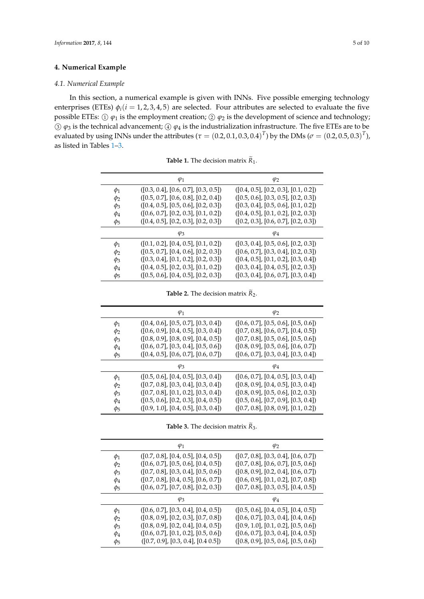## <span id="page-4-0"></span>**4. Numerical Example**

## *4.1. Numerical Example*

In this section, a numerical example is given with INNs. Five possible emerging technology enterprises (ETEs)  $\phi_i$ ( $i = 1, 2, 3, 4, 5$ ) are selected. Four attributes are selected to evaluate the five possible ETEs:  $\oplus \varphi_1$  is the employment creation;  $\otimes \varphi_2$  is the development of science and technology;  $\circled{3}$  *φ*<sub>3</sub> is the technical advancement;  $\circled{4}$  *φ*<sub>4</sub> is the industrialization infrastructure. The five ETEs are to be evaluated by using INNs under the attributes ( $\tau = (0.2, 0.1, 0.3, 0.4)^T$ ) by the DMs ( $\sigma = (0.2, 0.5, 0.3)^T$ ), as listed in Tables [1](#page-4-1)[–3.](#page-4-2)

**Table 1.** The decision matrix  $R_1$ .

<span id="page-4-1"></span>

|          | $\varphi_1$                          | $\varphi_2$                          |
|----------|--------------------------------------|--------------------------------------|
| $\phi_1$ | ([0.3, 0.4], [0.6, 0.7], [0.3, 0.5]) | ([0.4, 0.5], [0.2, 0.3], [0.1, 0.2]) |
| $\phi_2$ | ([0.5, 0.7], [0.6, 0.8], [0.2, 0.4]) | ([0.5, 0.6], [0.3, 0.5], [0.2, 0.3]) |
| $\phi_3$ | ([0.4, 0.5], [0.5, 0.6], [0.2, 0.3]) | ([0.3, 0.4], [0.5, 0.6], [0.1, 0.2]) |
| $\phi_4$ | ([0.6, 0.7], [0.2, 0.3], [0.1, 0.2]) | ([0.4, 0.5], [0.1, 0.2], [0.2, 0.3]) |
| $\phi_5$ | ([0.4, 0.5], [0.2, 0.3], [0.2, 0.3]) | ([0.2, 0.3], [0.6, 0.7], [0.2, 0.3]) |
|          | $\varphi_3$                          | $\varphi_4$                          |
| $\phi_1$ | ([0.1, 0.2], [0.4, 0.5], [0.1, 0.2]) | ([0.3, 0.4], [0.5, 0.6], [0.2, 0.3]) |
| $\phi_2$ | ([0.5, 0.7], [0.4, 0.6], [0.2, 0.3]) | ([0.6, 0.7], [0.3, 0.4], [0.2, 0.3]) |
| $\phi_3$ | ([0.3, 0.4], [0.1, 0.2], [0.2, 0.3]) | ([0.4, 0.5], [0.1, 0.2], [0.3, 0.4]) |
| $\phi_4$ | ([0.4, 0.5], [0.2, 0.3], [0.1, 0.2]) | ([0.3, 0.4], [0.4, 0.5], [0.2, 0.3]) |
| $\phi_5$ | ([0.5, 0.6], [0.4, 0.5], [0.2, 0.3]) | ([0.3, 0.4], [0.6, 0.7], [0.3, 0.4]) |

**Table 2.** The decision matrix  $\widetilde{R}_2$ .

|          | $\varphi_1$                          | $\varphi_2$                          |
|----------|--------------------------------------|--------------------------------------|
| $\phi_1$ | ([0.4, 0.6], [0.5, 0.7], [0.3, 0.4]) | ([0.6, 0.7], [0.5, 0.6], [0.5, 0.6]) |
| $\phi_2$ | ([0.6, 0.9], [0.4, 0.5], [0.3, 0.4]) | ([0.7, 0.8], [0.6, 0.7], [0.4, 0.5]) |
| $\phi_3$ | ([0.8, 0.9], [0.8, 0.9], [0.4, 0.5]) | ([0.7, 0.8], [0.5, 0.6], [0.5, 0.6]) |
| $\phi_4$ | ([0.6, 0.7], [0.3, 0.4], [0.5, 0.6]) | ([0.8, 0.9], [0.5, 0.6], [0.6, 0.7]) |
| $\phi_5$ | ([0.4, 0.5], [0.6, 0.7], [0.6, 0.7]) | ([0.6, 0.7], [0.3, 0.4], [0.3, 0.4]) |
|          | $\varphi_3$                          | $\varphi_4$                          |
| $\phi_1$ | ([0.5, 0.6], [0.4, 0.5], [0.3, 0.4]) | ([0.6, 0.7], [0.4, 0.5], [0.3, 0.4]) |
| $\phi_2$ | ([0.7, 0.8], [0.3, 0.4], [0.3, 0.4]) | ([0.8, 0.9], [0.4, 0.5], [0.3, 0.4]) |
| $\phi_3$ | ([0.7, 0.8], [0.1, 0.2], [0.3, 0.4]) | ([0.8, 0.9], [0.5, 0.6], [0.2, 0.3]) |
| $\phi_4$ | ([0.5, 0.6], [0.2, 0.3], [0.4, 0.5]) | ([0.5, 0.6], [0.7, 0.9], [0.3, 0.4]) |
| $\phi_5$ | ([0.9, 1.0], [0.4, 0.5], [0.3, 0.4]) | ([0.7, 0.8], [0.8, 0.9], [0.1, 0.2]) |

**Table 3.** The decision matrix  $\widetilde{R}_3$ .

<span id="page-4-2"></span>

|          | $\varphi_1$                          | $\varphi_2$                          |
|----------|--------------------------------------|--------------------------------------|
| $\phi_1$ | ([0.7, 0.8], [0.4, 0.5], [0.4, 0.5]) | ([0.7, 0.8], [0.3, 0.4], [0.6, 0.7]) |
| $\phi_2$ | ([0.6, 0.7], [0.5, 0.6], [0.4, 0.5]) | ([0.7, 0.8], [0.6, 0.7], [0.5, 0.6]) |
| $\phi_3$ | ([0.7, 0.8], [0.3, 0.4], [0.5, 0.6]) | ([0.8, 0.9], [0.2, 0.4], [0.6, 0.7]) |
| $\phi_4$ | ([0.7, 0.8], [0.4, 0.5], [0.6, 0.7]) | ([0.6, 0.9], [0.1, 0.2], [0.7, 0.8]) |
| $\phi_5$ | ([0.6, 0.7], [0.7, 0.8], [0.2, 0.3]) | ([0.7, 0.8], [0.3, 0.5], [0.4, 0.5]) |
|          | $\varphi_3$                          | $\varphi_4$                          |
| $\phi_1$ | ([0.6, 0.7], [0.3, 0.4], [0.4, 0.5]) | ([0.5, 0.6], [0.4, 0.5], [0.4, 0.5]) |
| $\phi_2$ | ([0.8, 0.9], [0.2, 0.3], [0.7, 0.8]) | ([0.6, 0.7], [0.3, 0.4], [0.4, 0.6]) |
| $\phi_3$ | ([0.8, 0.9], [0.2, 0.4], [0.4, 0.5]) | ([0.9, 1.0], [0.1, 0.2], [0.5, 0.6]) |
| $\phi_4$ | ([0.6, 0.7], [0.1, 0.2], [0.5, 0.6]) | ([0.6, 0.7], [0.3, 0.4], [0.4, 0.5]) |
| $\phi_5$ | ([0.7, 0.9], [0.3, 0.4], [0.4, 0.5]) | ([0.8, 0.9], [0.5, 0.6], [0.5, 0.6]) |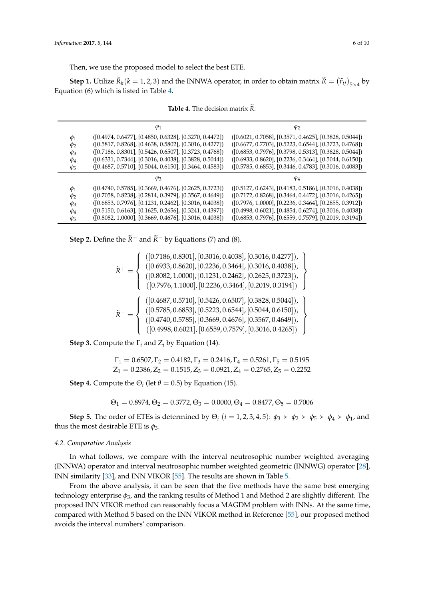Then, we use the proposed model to select the best ETE.

**Step 1.** Utilize  $\overline{R}_k(k=1,2,3)$  and the INNWA operator, in order to obtain matrix  $\overline{R} = (\widetilde{r}_{ij})_{5\times 4}$  by Equation (6) which is listed in Table [4.](#page-5-0)

<span id="page-5-0"></span>

|          | $\varphi_1$                                              | $\varphi_2$                                               |
|----------|----------------------------------------------------------|-----------------------------------------------------------|
| $\phi_1$ | $([0.4974, 0.6477], [0.4850, 0.6328], [0.3270, 0.4472])$ | $([0.6021, 0.7058], [0.3571, 0.4625], [0.3828, 0.5044])$  |
| $\phi_2$ | $([0.5817, 0.8268], [0.4638, 0.5802], [0.3016, 0.4277])$ | $([0.6677, 0.7703], [0.5223, 0.6544], [0.3723, 0.4768])$  |
| $\phi_3$ | $([0.7186, 0.8301], [0.5426, 0.6507], [0.3723, 0.4768])$ | $([0.6853, 0.7976], [0.3798, 0.5313], [0.3828, 0.5044])$  |
| $\phi_4$ | $([0.6331, 0.7344], [0.3016, 0.4038], [0.3828, 0.5044])$ | $([0.6933, 0.8620], [0.2236, 0.3464], [0.5044, 0.6150])$  |
| $\phi_5$ | $([0.4687, 0.5710], [0.5044, 0.6150], [0.3464, 0.4583])$ | $([0.5785, 0.6853], [0.3446, 0.4783], [0.3016, 0.4083])$  |
|          | $\varphi_3$                                              | $\varphi_4$                                               |
| $\phi_1$ | $([0.4740, 0.5785], [0.3669, 0.4676], [0.2625, 0.3723])$ | $(0.5127, 0.6243], [0.4183, 0.5186], [0.3016, 0.4038])$   |
| $\phi_2$ | $([0.7058, 0.8238], [0.2814, 0.3979], [0.3567, 0.4649])$ | $([0.7172, 0.8268], [0.3464, 0.4472], [0.3016, 0.4265])$  |
| $\phi_3$ | $([0.6853, 0.7976], [0.1231, 0.2462], [0.3016, 0.4038])$ | $( [0.7976, 1.0000], [0.2236, 0.3464], [0.2855, 0.3912])$ |
| $\phi_4$ | $([0.5150, 0.6163], [0.1625, 0.2656], [0.3241, 0.4397])$ | $( [0.4998, 0.6021], [0.4854, 0.6274], [0.3016, 0.4038])$ |
| $\phi_5$ | ([0.8082, 1.0000], [0.3669, 0.4676], [0.3016, 0.4038])   | $([0.6853, 0.7976], [0.6559, 0.7579], [0.2019, 0.3194])$  |

**Table 4.** The decision matrix  $\widetilde{R}$ .

**Step 2.** Define the  $\widetilde{R}$ <sup>+</sup> and  $\widetilde{R}$ <sup>−</sup> by Equations (7) and (8).

$$
\widetilde{R}^+ = \left\{ \begin{array}{l} ([0.7186, 0.8301], [0.3016, 0.4038], [0.3016, 0.4277]), \\ \left([0.6933, 0.8620], [0.2236, 0.3464], [0.3016, 0.4038] \right), \\ \left([0.8082, 1.0000], [0.1231, 0.2462], [0.2625, 0.3723] \right), \\ \left([0.7976, 1.1000], [0.2236, 0.3464], [0.2019, 0.3194] \right) \end{array} \right\}
$$
\n
$$
\widetilde{R}^- = \left\{ \begin{array}{l} \left( [0.4687, 0.5710], [0.5426, 0.6507], [0.3828, 0.5044]), \\ \left([0.5785, 0.6853], [0.5223, 0.6544], [0.5044, 0.6150] \right), \\ \left([0.4740, 0.5785], [0.3669, 0.4676], [0.3567, 0.4649] \right), \\ \left([0.4998, 0.6021], [0.6559, 0.7579], [0.3016, 0.4265] \right) \end{array} \right\}
$$

**Step 3.** Compute the  $\Gamma$ <sup>*i*</sup> and  $Z$ <sup>*i*</sup> by Equation (14).

$$
\Gamma_1=0.6507, \Gamma_2=0.4182, \Gamma_3=0.2416, \Gamma_4=0.5261, \Gamma_5=0.5195
$$
  

$$
Z_1=0.2386, Z_2=0.1515, Z_3=0.0921, Z_4=0.2765, Z_5=0.2252
$$

**Step 4.** Compute the  $\Theta_i$  (let  $\theta = 0.5$ ) by Equation (15).

$$
\Theta_1 = 0.8974, \Theta_2 = 0.3772, \Theta_3 = 0.0000, \Theta_4 = 0.8477, \Theta_5 = 0.7006
$$

**Step 5.** The order of ETEs is determined by  $\Theta_i$  (*i* = 1, 2, 3, 4, 5):  $\phi_3 \succ \phi_2 \succ \phi_5 \succ \phi_4 \succ \phi_1$ , and thus the most desirable ETE is  $\phi_3$ .

#### *4.2. Comparative Analysis*

In what follows, we compare with the interval neutrosophic number weighted averaging (INNWA) operator and interval neutrosophic number weighted geometric (INNWG) operator [\[28\]](#page-7-15), INN similarity [\[33\]](#page-7-18), and INN VIKOR [\[55\]](#page-8-11). The results are shown in Table [5.](#page-6-10)

From the above analysis, it can be seen that the five methods have the same best emerging technology enterprise  $\phi_3$ , and the ranking results of Method 1 and Method 2 are slightly different. The proposed INN VIKOR method can reasonably focus a MAGDM problem with INNs. At the same time, compared with Method 5 based on the INN VIKOR method in Reference [\[55\]](#page-8-11), our proposed method avoids the interval numbers' comparison.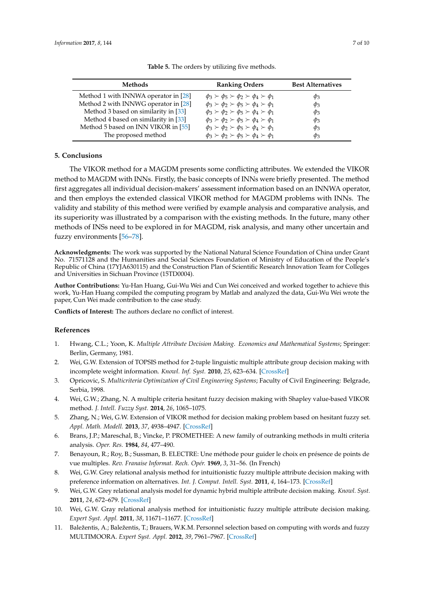<span id="page-6-10"></span>

| <b>Methods</b>                       | <b>Ranking Orders</b>                                        | <b>Best Alternatives</b> |
|--------------------------------------|--------------------------------------------------------------|--------------------------|
| Method 1 with INNWA operator in [28] | $\phi_3 \succ \phi_5 \succ \phi_2 \succ \phi_4 \succ \phi_1$ | $\varphi_3$              |
| Method 2 with INNWG operator in [28] | $\phi_3 \succ \phi_2 \succ \phi_5 \succ \phi_4 \succ \phi_1$ | $\varphi_3$              |
| Method 3 based on similarity in [33] | $\phi_3 \succ \phi_2 \succ \phi_5 \succ \phi_4 \succ \phi_1$ | $\varphi_3$              |
| Method 4 based on similarity in [33] | $\phi_3 \succ \phi_2 \succ \phi_5 \succ \phi_4 \succ \phi_1$ | $\varphi_3$              |
| Method 5 based on INN VIKOR in [55]  | $\phi_3 \succ \phi_2 \succ \phi_5 \succ \phi_4 \succ \phi_1$ | $\varphi_3$              |
| The proposed method                  | $\phi_3 \succ \phi_2 \succ \phi_5 \succ \phi_4 \succ \phi_1$ | $\varphi_3$              |

**Table 5.** The orders by utilizing five methods.

## <span id="page-6-9"></span>**5. Conclusions**

The VIKOR method for a MAGDM presents some conflicting attributes. We extended the VIKOR method to MAGDM with INNs. Firstly, the basic concepts of INNs were briefly presented. The method first aggregates all individual decision-makers' assessment information based on an INNWA operator, and then employs the extended classical VIKOR method for MAGDM problems with INNs. The validity and stability of this method were verified by example analysis and comparative analysis, and its superiority was illustrated by a comparison with the existing methods. In the future, many other methods of INSs need to be explored in for MAGDM, risk analysis, and many other uncertain and fuzzy environments [\[56–](#page-8-12)[78\]](#page-9-0).

**Acknowledgments:** The work was supported by the National Natural Science Foundation of China under Grant No. 71571128 and the Humanities and Social Sciences Foundation of Ministry of Education of the People's Republic of China (17YJA630115) and the Construction Plan of Scientific Research Innovation Team for Colleges and Universities in Sichuan Province (15TD0004).

**Author Contributions:** Yu-Han Huang, Gui-Wu Wei and Cun Wei conceived and worked together to achieve this work, Yu-Han Huang compiled the computing program by Matlab and analyzed the data, Gui-Wu Wei wrote the paper, Cun Wei made contribution to the case study.

**Conflicts of Interest:** The authors declare no conflict of interest.

## **References**

- <span id="page-6-0"></span>1. Hwang, C.L.; Yoon, K. *Multiple Attribute Decision Making. Economics and Mathematical Systems*; Springer: Berlin, Germany, 1981.
- <span id="page-6-1"></span>2. Wei, G.W. Extension of TOPSIS method for 2-tuple linguistic multiple attribute group decision making with incomplete weight information. *Knowl. Inf. Syst.* **2010**, *25*, 623–634. [\[CrossRef\]](http://dx.doi.org/10.1007/s10115-009-0258-3)
- <span id="page-6-2"></span>3. Opricovic, S. *Multicriteria Optimization of Civil Engineering Systems*; Faculty of Civil Engineering: Belgrade, Serbia, 1998.
- 4. Wei, G.W.; Zhang, N. A multiple criteria hesitant fuzzy decision making with Shapley value-based VIKOR method. *J. Intell. Fuzzy Syst.* **2014**, *26*, 1065–1075.
- <span id="page-6-3"></span>5. Zhang, N.; Wei, G.W. Extension of VIKOR method for decision making problem based on hesitant fuzzy set. *Appl. Math. Modell.* **2013**, *37*, 4938–4947. [\[CrossRef\]](http://dx.doi.org/10.1016/j.apm.2012.10.002)
- <span id="page-6-4"></span>6. Brans, J.P.; Mareschal, B.; Vincke, P. PROMETHEE: A new family of outranking methods in multi criteria analysis. *Oper. Res.* **1984**, *84*, 477–490.
- <span id="page-6-5"></span>7. Benayoun, R.; Roy, B.; Sussman, B. ELECTRE: Une méthode pour guider le choix en présence de points de vue multiples. *Rev. Franaise Informat. Rech. Opér.* **1969**, *3*, 31–56. (In French)
- <span id="page-6-6"></span>8. Wei, G.W. Grey relational analysis method for intuitionistic fuzzy multiple attribute decision making with preference information on alternatives. *Int. J. Comput. Intell. Syst.* **2011**, *4*, 164–173. [\[CrossRef\]](http://dx.doi.org/10.1080/18756891.2011.9727773)
- 9. Wei, G.W. Grey relational analysis model for dynamic hybrid multiple attribute decision making. *Knowl. Syst.* **2011**, *24*, 672–679. [\[CrossRef\]](http://dx.doi.org/10.1016/j.knosys.2011.02.007)
- <span id="page-6-7"></span>10. Wei, G.W. Gray relational analysis method for intuitionistic fuzzy multiple attribute decision making. *Expert Syst. Appl.* **2011**, *38*, 11671–11677. [\[CrossRef\]](http://dx.doi.org/10.1016/j.eswa.2011.03.048)
- <span id="page-6-8"></span>11. Baležentis, A.; Baležentis, T.; Brauers, W.K.M. Personnel selection based on computing with words and fuzzy MULTIMOORA. *Expert Syst. Appl.* **2012**, *39*, 7961–7967. [\[CrossRef\]](http://dx.doi.org/10.1016/j.eswa.2012.01.100)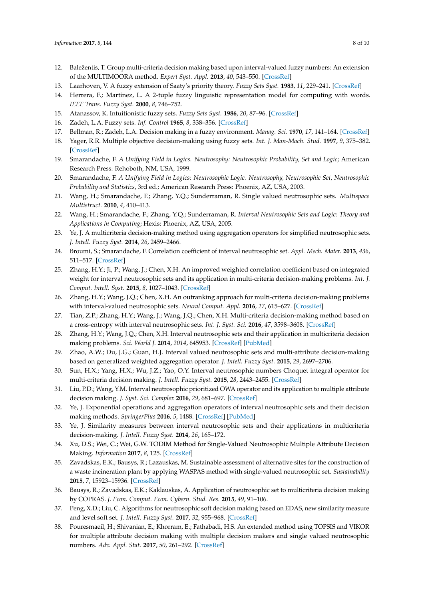- <span id="page-7-0"></span>12. Baležentis, T. Group multi-criteria decision making based upon interval-valued fuzzy numbers: An extension of the MULTIMOORA method. *Expert Syst. Appl.* **2013**, *40*, 543–550. [\[CrossRef\]](http://dx.doi.org/10.1016/j.eswa.2012.07.066)
- <span id="page-7-1"></span>13. Laarhoven, V. A fuzzy extension of Saaty's priority theory. *Fuzzy Sets Syst.* **1983**, *11*, 229–241. [\[CrossRef\]](http://dx.doi.org/10.1016/S0165-0114(83)80082-7)
- 14. Herrera, F.; Martínez, L. A 2-tuple fuzzy linguistic representation model for computing with words. *IEEE Trans. Fuzzy Syst.* **2000**, *8*, 746–752.
- <span id="page-7-2"></span>15. Atanassov, K. Intuitionistic fuzzy sets. *Fuzzy Sets Syst.* **1986**, *20*, 87–96. [\[CrossRef\]](http://dx.doi.org/10.1016/S0165-0114(86)80034-3)
- <span id="page-7-4"></span><span id="page-7-3"></span>16. Zadeh, L.A. Fuzzy sets. *Inf. Control* **1965**, *8*, 338–356. [\[CrossRef\]](http://dx.doi.org/10.1016/S0019-9958(65)90241-X)
- <span id="page-7-5"></span>17. Bellman, R.; Zadeh, L.A. Decision making in a fuzzy environment. *Manag. Sci.* **1970**, *17*, 141–164. [\[CrossRef\]](http://dx.doi.org/10.1287/mnsc.17.4.B141)
- 18. Yager, R.R. Multiple objective decision-making using fuzzy sets. *Int. J. Man-Mach. Stud.* **1997**, *9*, 375–382. [\[CrossRef\]](http://dx.doi.org/10.1016/S0020-7373(77)80008-4)
- <span id="page-7-6"></span>19. Smarandache, F. *A Unifying Field in Logics. Neutrosophy: Neutrosophic Probability, Set and Logic*; American Research Press: Rehoboth, NM, USA, 1999.
- <span id="page-7-7"></span>20. Smarandache, F. *A Unifying Field in Logics: Neutrosophic Logic. Neutrosophy, Neutrosophic Set, Neutrosophic Probability and Statistics*, 3rd ed.; American Research Press: Phoenix, AZ, USA, 2003.
- <span id="page-7-8"></span>21. Wang, H.; Smarandache, F.; Zhang, Y.Q.; Sunderraman, R. Single valued neutrosophic sets. *Multispace Multistruct.* **2010**, *4*, 410–413.
- <span id="page-7-9"></span>22. Wang, H.; Smarandache, F.; Zhang, Y.Q.; Sunderraman, R. *Interval Neutrosophic Sets and Logic: Theory and Applications in Computing*; Hexis: Phoenix, AZ, USA, 2005.
- <span id="page-7-10"></span>23. Ye, J. A multicriteria decision-making method using aggregation operators for simplified neutrosophic sets. *J. Intell. Fuzzy Syst.* **2014**, *26*, 2459–2466.
- <span id="page-7-11"></span>24. Broumi, S.; Smarandache, F. Correlation coefficient of interval neutrosophic set. *Appl. Mech. Mater.* **2013**, *436*, 511–517. [\[CrossRef\]](http://dx.doi.org/10.4028/www.scientific.net/AMM.436.511)
- <span id="page-7-12"></span>25. Zhang, H.Y.; Ji, P.; Wang, J.; Chen, X.H. An improved weighted correlation coefficient based on integrated weight for interval neutrosophic sets and its application in multi-criteria decision-making problems. *Int. J. Comput. Intell. Syst.* **2015**, *8*, 1027–1043. [\[CrossRef\]](http://dx.doi.org/10.1080/18756891.2015.1099917)
- <span id="page-7-13"></span>26. Zhang, H.Y.; Wang, J.Q.; Chen, X.H. An outranking approach for multi-criteria decision-making problems with interval-valued neutrosophic sets. *Neural Comput. Appl.* **2016**, *27*, 615–627. [\[CrossRef\]](http://dx.doi.org/10.1007/s00521-015-1882-3)
- <span id="page-7-14"></span>27. Tian, Z.P.; Zhang, H.Y.; Wang, J.; Wang, J.Q.; Chen, X.H. Multi-criteria decision-making method based on a cross-entropy with interval neutrosophic sets. *Int. J. Syst. Sci.* **2016**, *47*, 3598–3608. [\[CrossRef\]](http://dx.doi.org/10.1080/00207721.2015.1102359)
- <span id="page-7-15"></span>28. Zhang, H.Y.; Wang, J.Q.; Chen, X.H. Interval neutrosophic sets and their application in multicriteria decision making problems. *Sci. World J.* **2014**, *2014*, 645953. [\[CrossRef\]](http://dx.doi.org/10.1155/2014/645953) [\[PubMed\]](http://www.ncbi.nlm.nih.gov/pubmed/24695916)
- <span id="page-7-16"></span>29. Zhao, A.W.; Du, J.G.; Guan, H.J. Interval valued neutrosophic sets and multi-attribute decision-making based on generalized weighted aggregation operator. *J. Intell. Fuzzy Syst.* **2015**, *29*, 2697–2706.
- 30. Sun, H.X.; Yang, H.X.; Wu, J.Z.; Yao, O.Y. Interval neutrosophic numbers Choquet integral operator for multi-criteria decision making. *J. Intell. Fuzzy Syst.* **2015**, *28*, 2443–2455. [\[CrossRef\]](http://dx.doi.org/10.3233/IFS-141524)
- 31. Liu, P.D.; Wang, Y.M. Interval neutrosophic prioritized OWA operator and its application to multiple attribute decision making. *J. Syst. Sci. Complex* **2016**, *29*, 681–697. [\[CrossRef\]](http://dx.doi.org/10.1007/s11424-015-4010-7)
- <span id="page-7-17"></span>32. Ye, J. Exponential operations and aggregation operators of interval neutrosophic sets and their decision making methods. *SpringerPlus* **2016**, *5*, 1488. [\[CrossRef\]](http://dx.doi.org/10.1186/s40064-016-3143-z) [\[PubMed\]](http://www.ncbi.nlm.nih.gov/pubmed/28018779)
- <span id="page-7-18"></span>33. Ye, J. Similarity measures between interval neutrosophic sets and their applications in multicriteria decision-making. *J. Intell. Fuzzy Syst.* **2014**, *26*, 165–172.
- <span id="page-7-19"></span>34. Xu, D.S.; Wei, C.; Wei, G.W. TODIM Method for Single-Valued Neutrosophic Multiple Attribute Decision Making. *Information* **2017**, *8*, 125. [\[CrossRef\]](http://dx.doi.org/10.3390/info8040125)
- 35. Zavadskas, E.K.; Bausys, R.; Lazauskas, M. Sustainable assessment of alternative sites for the construction of a waste incineration plant by applying WASPAS method with single-valued neutrosophic set. *Sustainability* **2015**, *7*, 15923–15936. [\[CrossRef\]](http://dx.doi.org/10.3390/su71215792)
- 36. Bausys, R.; Zavadskas, E.K.; Kaklauskas, A. Application of neutrosophic set to multicriteria decision making by COPRAS. *J. Econ. Comput. Econ. Cybern. Stud. Res.* **2015**, *49*, 91–106.
- 37. Peng, X.D.; Liu, C. Algorithms for neutrosophic soft decision making based on EDAS, new similarity measure and level soft set. *J. Intell. Fuzzy Syst.* **2017**, *32*, 955–968. [\[CrossRef\]](http://dx.doi.org/10.3233/JIFS-161548)
- <span id="page-7-20"></span>38. Pouresmaeil, H.; Shivanian, E.; Khorram, E.; Fathabadi, H.S. An extended method using TOPSIS and VIKOR for multiple attribute decision making with multiple decision makers and single valued neutrosophic numbers. *Adv. Appl. Stat.* **2017**, *50*, 261–292. [\[CrossRef\]](http://dx.doi.org/10.17654/AS050040261)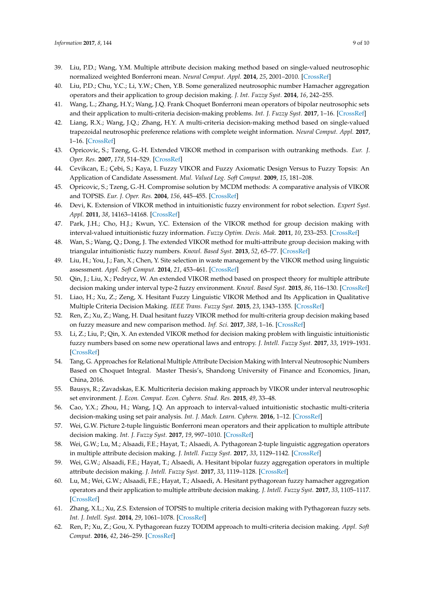- 39. Liu, P.D.; Wang, Y.M. Multiple attribute decision making method based on single-valued neutrosophic normalized weighted Bonferroni mean. *Neural Comput. Appl.* **2014**, *25*, 2001–2010. [\[CrossRef\]](http://dx.doi.org/10.1007/s00521-014-1688-8)
- 40. Liu, P.D.; Chu, Y.C.; Li, Y.W.; Chen, Y.B. Some generalized neutrosophic number Hamacher aggregation operators and their application to group decision making. *J. Int. Fuzzy Syst.* **2014**, *16*, 242–255.
- 41. Wang, L.; Zhang, H.Y.; Wang, J.Q. Frank Choquet Bonferroni mean operators of bipolar neutrosophic sets and their application to multi-criteria decision-making problems. *Int. J. Fuzzy Syst.* **2017**, 1–16. [\[CrossRef\]](http://dx.doi.org/10.1007/s40815-017-0373-3)
- <span id="page-8-0"></span>42. Liang, R.X.; Wang, J.Q.; Zhang, H.Y. A multi-criteria decision-making method based on single-valued trapezoidal neutrosophic preference relations with complete weight information. *Neural Comput. Appl.* **2017**, 1–16. [\[CrossRef\]](http://dx.doi.org/10.1007/s00521-017-2925-8)
- <span id="page-8-1"></span>43. Opricovic, S.; Tzeng, G.-H. Extended VIKOR method in comparison with outranking methods. *Eur. J. Oper. Res.* **2007**, *178*, 514–529. [\[CrossRef\]](http://dx.doi.org/10.1016/j.ejor.2006.01.020)
- 44. Cevikcan, E.; Çebi, S.; Kaya, I. Fuzzy VIKOR and Fuzzy Axiomatic Design Versus to Fuzzy Topsis: An Application of Candidate Assessment. *Mul. Valued Log. Soft Comput.* **2009**, *15*, 181–208.
- <span id="page-8-2"></span>45. Opricovic, S.; Tzeng, G.-H. Compromise solution by MCDM methods: A comparative analysis of VIKOR and TOPSIS. *Eur. J. Oper. Res.* **2004**, *156*, 445–455. [\[CrossRef\]](http://dx.doi.org/10.1016/S0377-2217(03)00020-1)
- <span id="page-8-3"></span>46. Devi, K. Extension of VIKOR method in intuitionistic fuzzy environment for robot selection. *Expert Syst. Appl.* **2011**, *38*, 14163–14168. [\[CrossRef\]](http://dx.doi.org/10.1016/j.eswa.2011.04.227)
- <span id="page-8-4"></span>47. Park, J.H.; Cho, H.J.; Kwun, Y.C. Extension of the VIKOR method for group decision making with interval-valued intuitionistic fuzzy information. *Fuzzy Optim. Decis. Mak.* **2011**, *10*, 233–253. [\[CrossRef\]](http://dx.doi.org/10.1007/s10700-011-9102-9)
- 48. Wan, S.; Wang, Q.; Dong, J. The extended VIKOR method for multi-attribute group decision making with triangular intuitionistic fuzzy numbers. *Knowl. Based Syst.* **2013**, *52*, 65–77. [\[CrossRef\]](http://dx.doi.org/10.1016/j.knosys.2013.06.019)
- <span id="page-8-5"></span>49. Liu, H.; You, J.; Fan, X.; Chen, Y. Site selection in waste management by the VIKOR method using linguistic assessment. *Appl. Soft Comput.* **2014**, *21*, 453–461. [\[CrossRef\]](http://dx.doi.org/10.1016/j.asoc.2014.04.004)
- <span id="page-8-6"></span>50. Qin, J.; Liu, X.; Pedrycz, W. An extended VIKOR method based on prospect theory for multiple attribute decision making under interval type-2 fuzzy environment. *Knowl. Based Syst.* **2015**, *86*, 116–130. [\[CrossRef\]](http://dx.doi.org/10.1016/j.knosys.2015.05.025)
- <span id="page-8-7"></span>51. Liao, H.; Xu, Z.; Zeng, X. Hesitant Fuzzy Linguistic VIKOR Method and Its Application in Qualitative Multiple Criteria Decision Making. *IEEE Trans. Fuzzy Syst.* **2015**, *23*, 1343–1355. [\[CrossRef\]](http://dx.doi.org/10.1109/TFUZZ.2014.2360556)
- <span id="page-8-8"></span>52. Ren, Z.; Xu, Z.; Wang, H. Dual hesitant fuzzy VIKOR method for multi-criteria group decision making based on fuzzy measure and new comparison method. *Inf. Sci.* **2017**, *388*, 1–16. [\[CrossRef\]](http://dx.doi.org/10.1016/j.ins.2017.01.024)
- <span id="page-8-9"></span>53. Li, Z.; Liu, P.; Qin, X. An extended VIKOR method for decision making problem with linguistic intuitionistic fuzzy numbers based on some new operational laws and entropy. *J. Intell. Fuzzy Syst.* **2017**, *33*, 1919–1931. [\[CrossRef\]](http://dx.doi.org/10.3233/JIFS-17488)
- <span id="page-8-10"></span>54. Tang, G. Approaches for Relational Multiple Attribute Decision Making with Interval Neutrosophic Numbers Based on Choquet Integral. Master Thesis's, Shandong University of Finance and Economics, Jinan, China, 2016.
- <span id="page-8-11"></span>55. Bausys, R.; Zavadskas, E.K. Multicriteria decision making approach by VIKOR under interval neutrosophic set environment. *J. Econ. Comput. Econ. Cybern. Stud. Res.* **2015**, *49*, 33–48.
- <span id="page-8-12"></span>56. Cao, Y.X.; Zhou, H.; Wang, J.Q. An approach to interval-valued intuitionistic stochastic multi-criteria decision-making using set pair analysis. *Int. J. Mach. Learn. Cybern.* **2016**, 1–12. [\[CrossRef\]](http://dx.doi.org/10.1007/s13042-016-0589-9)
- 57. Wei, G.W. Picture 2-tuple linguistic Bonferroni mean operators and their application to multiple attribute decision making. *Int. J. Fuzzy Syst.* **2017**, *19*, 997–1010. [\[CrossRef\]](http://dx.doi.org/10.1007/s40815-016-0266-x)
- 58. Wei, G.W.; Lu, M.; Alsaadi, F.E.; Hayat, T.; Alsaedi, A. Pythagorean 2-tuple linguistic aggregation operators in multiple attribute decision making. *J. Intell. Fuzzy Syst.* **2017**, *33*, 1129–1142. [\[CrossRef\]](http://dx.doi.org/10.3233/JIFS-16715)
- 59. Wei, G.W.; Alsaadi, F.E.; Hayat, T.; Alsaedi, A. Hesitant bipolar fuzzy aggregation operators in multiple attribute decision making. *J. Intell. Fuzzy Syst.* **2017**, *33*, 1119–1128. [\[CrossRef\]](http://dx.doi.org/10.3233/JIFS-16612)
- 60. Lu, M.; Wei, G.W.; Alsaadi, F.E.; Hayat, T.; Alsaedi, A. Hesitant pythagorean fuzzy hamacher aggregation operators and their application to multiple attribute decision making. *J. Intell. Fuzzy Syst.* **2017**, *33*, 1105–1117. [\[CrossRef\]](http://dx.doi.org/10.3233/JIFS-16554)
- 61. Zhang, X.L.; Xu, Z.S. Extension of TOPSIS to multiple criteria decision making with Pythagorean fuzzy sets. *Int. J. Intell. Syst.* **2014**, *29*, 1061–1078. [\[CrossRef\]](http://dx.doi.org/10.1002/int.21676)
- 62. Ren, P.; Xu, Z.; Gou, X. Pythagorean fuzzy TODIM approach to multi-criteria decision making. *Appl. Soft Comput.* **2016**, *42*, 246–259. [\[CrossRef\]](http://dx.doi.org/10.1016/j.asoc.2015.12.020)